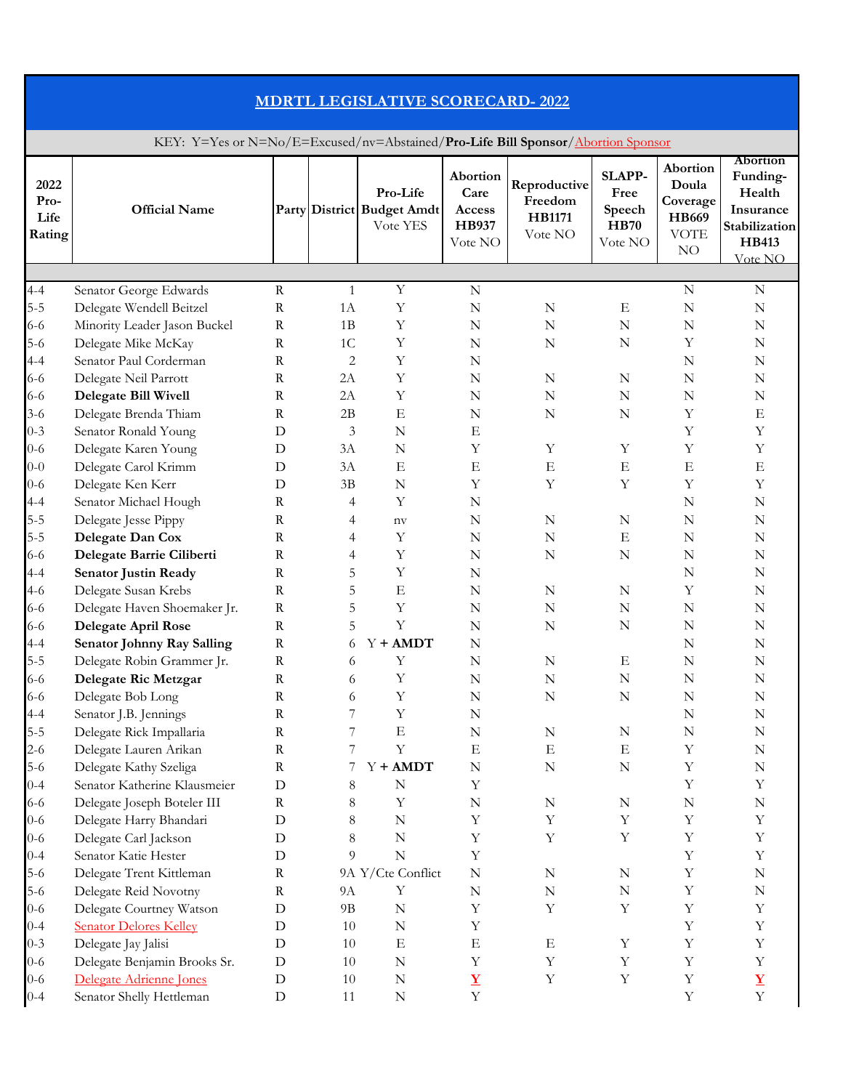| <b>MDRTL LEGISLATIVE SCORECARD-2022</b> |                                                                                  |                            |                      |                                                    |                                                |                                                     |                                                           |                                                             |                                                                                                |  |  |  |
|-----------------------------------------|----------------------------------------------------------------------------------|----------------------------|----------------------|----------------------------------------------------|------------------------------------------------|-----------------------------------------------------|-----------------------------------------------------------|-------------------------------------------------------------|------------------------------------------------------------------------------------------------|--|--|--|
|                                         | KEY: Y=Yes or N=No/E=Excused/nv=Abstained/Pro-Life Bill Sponsor/Abortion Sponsor |                            |                      |                                                    |                                                |                                                     |                                                           |                                                             |                                                                                                |  |  |  |
| 2022<br>Pro-<br>Life<br>Rating          | <b>Official Name</b>                                                             |                            |                      | Pro-Life<br>Party District Budget Amdt<br>Vote YES | Abortion<br>Care<br>Access<br>HB937<br>Vote NO | Reproductive<br>Freedom<br><b>HB1171</b><br>Vote NO | <b>SLAPP-</b><br>Free<br>Speech<br><b>HB70</b><br>Vote NO | Abortion<br>Doula<br>Coverage<br>HB669<br><b>VOTE</b><br>NO | <b>Abortion</b><br>Funding-<br>Health<br>Insurance<br>Stabilization<br><b>HB413</b><br>Vote NO |  |  |  |
| $4 - 4$                                 |                                                                                  | $\mathbf R$                | 1                    | Y                                                  | $\mathbf N$                                    |                                                     |                                                           | $\mathbf N$                                                 | N                                                                                              |  |  |  |
| $5 - 5$                                 | Senator George Edwards<br>Delegate Wendell Beitzel                               | $\mathbf R$                | 1A                   | Y                                                  | $\mathbf N$                                    | $\mathbf N$                                         | $_{\rm E}$                                                | $\mathbf N$                                                 | N                                                                                              |  |  |  |
| 6-6<br>$5-6$                            | Minority Leader Jason Buckel<br>Delegate Mike McKay                              | $\mathbf R$<br>$\mathbf R$ | 1B<br>1 <sup>C</sup> | Υ<br>Υ                                             | $\mathbf N$<br>N                               | N<br>N                                              | N<br>N                                                    | N<br>Y                                                      | N<br>N                                                                                         |  |  |  |
| $4 - 4$<br>$6 - 6$                      | Senator Paul Corderman<br>Delegate Neil Parrott                                  | R<br>$\mathbf R$           | 2<br>2A              | Υ<br>Υ                                             | N<br>N                                         | N                                                   | N                                                         | N<br>N                                                      | N<br>N                                                                                         |  |  |  |
| $6 - 6$<br>$3-6$                        | <b>Delegate Bill Wivell</b><br>Delegate Brenda Thiam                             | R<br>R                     | 2A<br>2B             | Y<br>E                                             | N<br>N                                         | N<br>N                                              | N<br>N                                                    | N<br>Υ                                                      | N<br>Ε                                                                                         |  |  |  |
| $0 - 3$                                 | Senator Ronald Young                                                             | D                          | 3                    | $\mathbf N$                                        | E                                              |                                                     |                                                           | Υ                                                           | Y                                                                                              |  |  |  |
| $0 - 6$<br>$0 - 0$                      | Delegate Karen Young<br>Delegate Carol Krimm                                     | D<br>D                     | 3A<br>3A             | N<br>E                                             | Y<br>$_{\rm E}$                                | Y<br>Ε                                              | Υ<br>E                                                    | Υ<br>$\mathbf E$                                            | Υ<br>Е                                                                                         |  |  |  |
| $0 - 6$<br>$4 - 4$                      | Delegate Ken Kerr<br>Senator Michael Hough                                       | D<br>R                     | 3B<br>4              | N<br>Y                                             | Y<br>N                                         | Y                                                   | Y                                                         | Υ<br>N                                                      | Υ<br>N                                                                                         |  |  |  |
| $5 - 5$                                 | Delegate Jesse Pippy                                                             | R                          | 4                    | $n$ v                                              | N                                              | N                                                   | N                                                         | N                                                           | N                                                                                              |  |  |  |
| $5 - 5$<br>$6 - 6$                      | Delegate Dan Cox<br>Delegate Barrie Ciliberti                                    | R<br>$\rm R$               | 4<br>$\overline{4}$  | Υ<br>Y                                             | N<br>$\mathbf N$                               | N<br>N                                              | E<br>$\mathbf N$                                          | N<br>N                                                      | N<br>N                                                                                         |  |  |  |
| $4 - 4$<br>$4-6$                        | <b>Senator Justin Ready</b><br>Delegate Susan Krebs                              | R<br>${\bf R}$             | 5<br>5               | Y<br>$\boldsymbol{\mathrm{E}}$                     | N<br>N                                         | ${\bf N}$                                           | N                                                         | N<br>$\mathbf Y$                                            | N<br>N                                                                                         |  |  |  |
| $6 - 6$                                 | Delegate Haven Shoemaker Jr.                                                     | $\mathbf R$                | 5                    | Y                                                  | N                                              | $\mathbf N$                                         | ${\bf N}$                                                 | ${\bf N}$                                                   | ${\bf N}$                                                                                      |  |  |  |
| $6 - 6$<br>$4 - 4$                      | <b>Delegate April Rose</b><br><b>Senator Johnny Ray Salling</b>                  | $\mathbf R$<br>$\mathbf R$ | 5<br>6               | Y<br>$Y + AMDT$                                    | ${\bf N}$<br>${\bf N}$                         | ${\bf N}$                                           | ${\bf N}$                                                 | N<br>${\bf N}$                                              | N<br>N                                                                                         |  |  |  |
| $5 - 5$<br>$6 - 6$                      | Delegate Robin Grammer Jr.<br>Delegate Ric Metzgar                               | $\rm R$<br>$\mathbf R$     | 6<br>6               | Y<br>Y                                             | N<br>N                                         | N<br>$\mathbf N$                                    | E<br>N                                                    | ${\bf N}$<br>N                                              | N<br>N                                                                                         |  |  |  |
| $6 - 6$                                 | Delegate Bob Long<br>Senator J.B. Jennings                                       | R<br>R                     | 6<br>7               | Y<br>Y                                             | N<br>$\mathbf N$                               | N                                                   | $\mathbf N$                                               | ${\bf N}$<br>N                                              | N<br>N                                                                                         |  |  |  |
| $4 - 4$<br>$5-5$                        | Delegate Rick Impallaria                                                         | $\mathbf R$                | 7                    | ${\bf E}$                                          | ${\bf N}$                                      | $\mathbf N$                                         | $\mathbf N$                                               | ${\bf N}$                                                   | N                                                                                              |  |  |  |
| $2 - 6$<br>$5-6$                        | Delegate Lauren Arikan<br>Delegate Kathy Szeliga                                 | $\mathbf R$<br>$\mathbf R$ | 7                    | Y<br>$Y + AMDT$                                    | $_{\rm E}$<br>${\bf N}$                        | Ε<br>N                                              | E<br>$\mathbf N$                                          | Υ<br>Υ                                                      | N<br>N                                                                                         |  |  |  |
| $0 - 4$<br>$6 - 6$                      | Senator Katherine Klausmeier<br>Delegate Joseph Boteler III                      | D<br>$\mathbf R$           | $8\phantom{1}$<br>8  | $\mathbb N$<br>Y                                   | Y<br>N                                         | N                                                   | N                                                         | Υ<br>N                                                      | Υ<br>N                                                                                         |  |  |  |
| $0 - 6$                                 | Delegate Harry Bhandari                                                          | D                          | 8                    | $\mathbb N$                                        | Y                                              | $\mathbf Y$                                         | $\mathbf Y$                                               | Y                                                           | Y                                                                                              |  |  |  |
| $0 - 6$<br>$0 - 4$                      | Delegate Carl Jackson<br>Senator Katie Hester                                    | D<br>D                     | 8<br>9               | $\mathbb N$<br>$\mathbf N$                         | Y<br>Y                                         | $\mathbf Y$                                         | Y                                                         | Υ<br>Y                                                      | Υ<br>Y                                                                                         |  |  |  |
| $5-6$<br>$5 - 6$                        | Delegate Trent Kittleman<br>Delegate Reid Novotny                                | $\mathbf R$<br>$\rm R$     | 9A                   | 9A Y/Cte Conflict<br>Y                             | ${\bf N}$<br>$\mathbf N$                       | N<br>N                                              | N<br>N                                                    | Υ<br>Υ                                                      | N<br>N                                                                                         |  |  |  |
| $0 - 6$                                 | Delegate Courtney Watson                                                         | D                          | 9B                   | $\mathbf N$                                        | Y                                              | Y                                                   | Y                                                         | Υ                                                           | Y                                                                                              |  |  |  |
| $0 - 4$<br>$0 - 3$                      | <b>Senator Delores Kelley</b><br>Delegate Jay Jalisi                             | D<br>D                     | 10<br>10             | $\mathbb N$<br>E                                   | Υ<br>$\mathbf E$                               | Е                                                   | $\mathbf Y$                                               | Υ<br>Y                                                      | Υ<br>Y                                                                                         |  |  |  |
| $0 - 6$<br>$0 - 6$                      | Delegate Benjamin Brooks Sr.<br>Delegate Adrienne Jones                          | $\mathbf D$<br>D           | 10<br>10             | $\mathbb N$<br>$\mathbb N$                         | Y<br>$\underline{\mathbf{Y}}$                  | Y<br>$\mathbf Y$                                    | $\mathbf Y$<br>$\mathbf Y$                                | Y<br>Y                                                      | Y<br>$\mathbf Y$                                                                               |  |  |  |
| $0 - 4$                                 | Senator Shelly Hettleman                                                         | $\mathbf D$                | 11                   | $\mathbf N$                                        | $\mathbf Y$                                    |                                                     |                                                           | Y                                                           | $\mathbf Y$                                                                                    |  |  |  |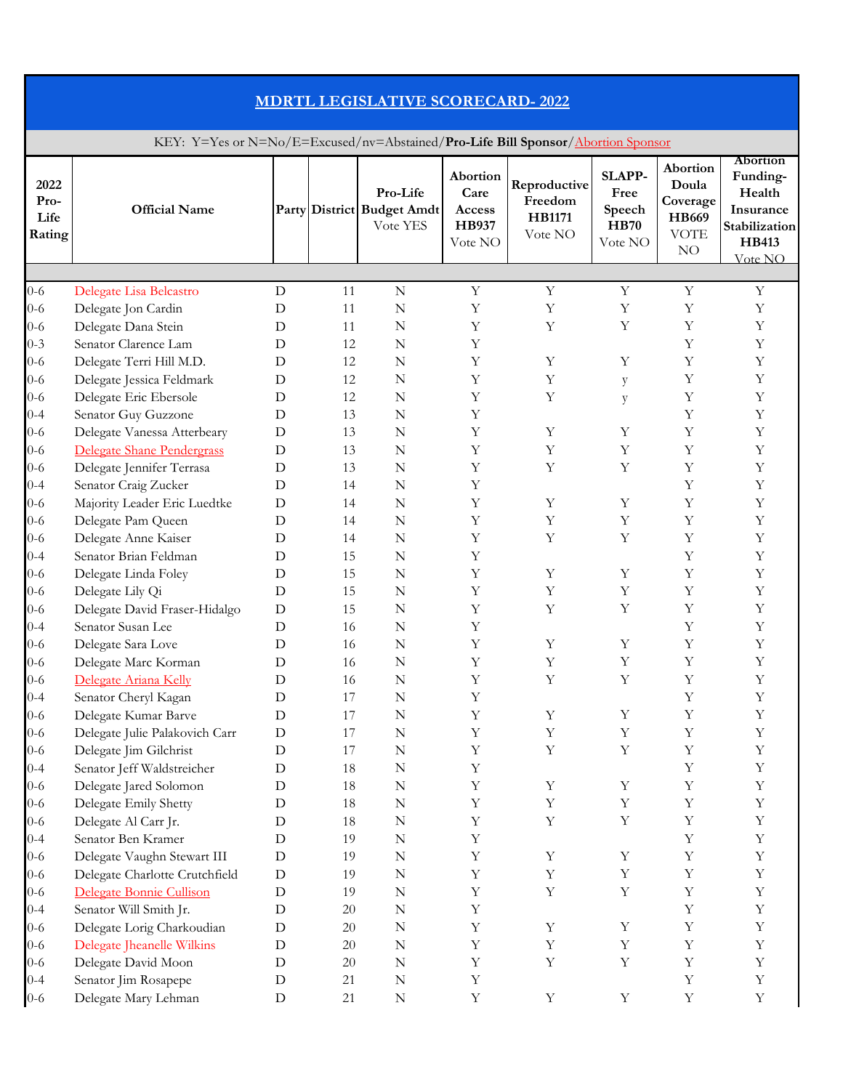| <b>MDRTL LEGISLATIVE SCORECARD-2022</b><br>KEY: Y=Yes or N=No/E=Excused/nv=Abstained/Pro-Life Bill Sponsor/Abortion Sponsor |                                                                                               |             |                |                                           |                       |             |                  |             |             |
|-----------------------------------------------------------------------------------------------------------------------------|-----------------------------------------------------------------------------------------------|-------------|----------------|-------------------------------------------|-----------------------|-------------|------------------|-------------|-------------|
|                                                                                                                             |                                                                                               |             |                |                                           |                       |             |                  |             |             |
| $0 - 6$                                                                                                                     |                                                                                               | D           | 11             | $\mathbf N$                               | Y                     | Y           | Y                | Y           | $\mathbf Y$ |
| $0 - 6$<br>$0 - 6$                                                                                                          | Delegate Lisa Belcastro<br>Delegate Jon Cardin<br>Delegate Dana Stein<br>Senator Clarence Lam | D<br>D<br>D | 11<br>11<br>12 | N<br>N<br>N                               | Y<br>Y                | Y<br>Y      | Y<br>Y           | Υ<br>Υ      | Υ<br>Υ<br>Y |
| $0 - 3$<br>$0 - 6$                                                                                                          | Delegate Terri Hill M.D.                                                                      | D           | 12             | $\mathbf N$                               | Υ<br>Y                | Y           | Y                | Υ<br>Υ      | Υ           |
| $0 - 6$<br>$0 - 6$<br>$0 - 4$                                                                                               | Delegate Jessica Feldmark<br>Delegate Eric Ebersole<br>Senator Guy Guzzone                    | D<br>D<br>D | 12<br>12<br>13 | N<br>N<br>$\mathbf N$                     | Y<br>Y<br>Y           | Y<br>Y      | y<br>y           | Υ<br>Υ<br>Υ | Υ<br>Υ<br>Υ |
| $0 - 6$<br>$0 - 6$                                                                                                          | Delegate Vanessa Atterbeary<br>Delegate Shane Pendergrass                                     | D<br>D      | 13<br>13       | N<br>N                                    | Y<br>Y                | Y<br>Υ      | Y<br>Y           | Υ<br>Υ      | Υ<br>Υ      |
| 0-6<br>$0 - 4$                                                                                                              | Delegate Jennifer Terrasa<br>Senator Craig Zucker                                             | D<br>D      | 13<br>14       | N<br>$\mathbf N$                          | Y<br>Y                | Y           | Υ                | Υ<br>Υ      | Υ<br>Y      |
| $0 - 6$<br>$0 - 6$<br>0-6                                                                                                   | Majority Leader Eric Luedtke<br>Delegate Pam Queen<br>Delegate Anne Kaiser                    | D<br>D<br>D | 14<br>14<br>14 | N<br>N<br>$\mathbf N$                     | Y<br>Y<br>Y           | Y<br>Y<br>Y | Y<br>Υ<br>Y      | Υ<br>Υ<br>Υ | Y<br>Υ<br>Υ |
| $0 - 4$<br>$0 - 6$                                                                                                          | Senator Brian Feldman<br>Delegate Linda Foley                                                 | D<br>D      | 15<br>15       | N<br>N                                    | Y<br>Y                | Y           | Y                | Υ<br>Y      | Υ<br>Υ      |
| $0 - 6$<br>$0 - 6$                                                                                                          | Delegate Lily Qi<br>Delegate David Fraser-Hidalgo                                             | D<br>D      | 15<br>15       | $\mathbf N$<br>$\mathbf N$                | Y<br>Y                | Υ<br>Y      | Υ<br>Y           | Υ<br>Υ      | Y<br>Υ      |
| $0 - 4$<br>$0 - 6$<br>$0 - 6$                                                                                               | Senator Susan Lee<br>Delegate Sara Love<br>Delegate Marc Korman                               | D<br>D<br>D | 16<br>16<br>16 | $\mathbf N$<br>$\mathbf N$<br>$\mathbf N$ | Y<br>$\mathbf Y$<br>Y | Y<br>Y      | $\mathbf Y$<br>Y | Υ<br>Υ<br>Υ | Y<br>Y<br>Y |
| $0 - 6$<br>$0 - 4$                                                                                                          | Delegate Ariana Kelly<br>Senator Cheryl Kagan                                                 | D<br>D      | 16<br>17       | $\mathbf N$<br>$\mathbf N$                | Y<br>Y                | Y           | Y                | Υ<br>Υ      | Y<br>Y      |
| $0 - 6$<br>$0 - 6$                                                                                                          | Delegate Kumar Barve<br>Delegate Julie Palakovich Carr                                        | D<br>D      | 17<br>17       | $\mathbf N$<br>N                          | Y<br>Y                | Y<br>Y      | Y<br>Y           | Υ<br>Υ      | Y<br>Υ      |
| $0 - 6$<br>$0 - 4$                                                                                                          | Delegate Jim Gilchrist<br>Senator Jeff Waldstreicher                                          | D<br>D      | 17<br>18<br>18 | $\mathbf N$<br>$\mathbf N$<br>$\mathbf N$ | Y<br>Y                | Y           | $\mathbf Y$<br>Y | Y<br>Υ      | Y<br>Y<br>Y |
| $0 - 6$<br>$0 - 6$<br>$0 - 6$                                                                                               | Delegate Jared Solomon<br>Delegate Emily Shetty<br>Delegate Al Carr Jr.                       | D<br>D<br>D | 18<br>18       | $\mathbf N$<br>$\mathbf N$                | Y<br>Y<br>Y           | Y<br>Y<br>Y | Y<br>Y           | Υ<br>Υ<br>Υ | Υ<br>Y      |
| $0 - 4$<br>$0 - 6$                                                                                                          | Senator Ben Kramer<br>Delegate Vaughn Stewart III                                             | D<br>D      | 19<br>19       | $\mathbf N$<br>$\mathbf N$                | Y<br>Y                | Y           | Y                | Υ<br>Υ      | Y<br>Υ      |
| $0 - 6$<br>$0 - 6$                                                                                                          | Delegate Charlotte Crutchfield<br>Delegate Bonnie Cullison                                    | D<br>D      | 19<br>19       | $\mathbf N$<br>$\mathbf N$                | Y<br>Y                | Y<br>Y      | $\mathbf Y$<br>Y | Y<br>Y      | Y<br>Y      |
| $0 - 4$<br>$0 - 6$                                                                                                          | Senator Will Smith Jr.<br>Delegate Lorig Charkoudian                                          | D<br>D      | 20<br>20       | $\mathbf N$<br>$\mathbf N$                | Y<br>Y                | Y           | Y                | Υ<br>Υ      | Y<br>Y      |
| $0 - 6$<br>$0 - 6$<br>$0 - 4$                                                                                               | Delegate Jheanelle Wilkins<br>Delegate David Moon<br>Senator Jim Rosapepe                     | D<br>D<br>D | 20<br>20<br>21 | $\mathbf N$<br>$\mathbf N$<br>$\mathbf N$ | Y<br>Y<br>Y           | Y<br>Y      | Y<br>Y           | Y<br>Υ<br>Υ | Y<br>Y<br>Y |
| $0 - 6$                                                                                                                     | Delegate Mary Lehman                                                                          | $\mathbf D$ | 21             | $\mathbf N$                               | Y                     | Y           | $\mathbf Y$      | $\mathbf Y$ | Y           |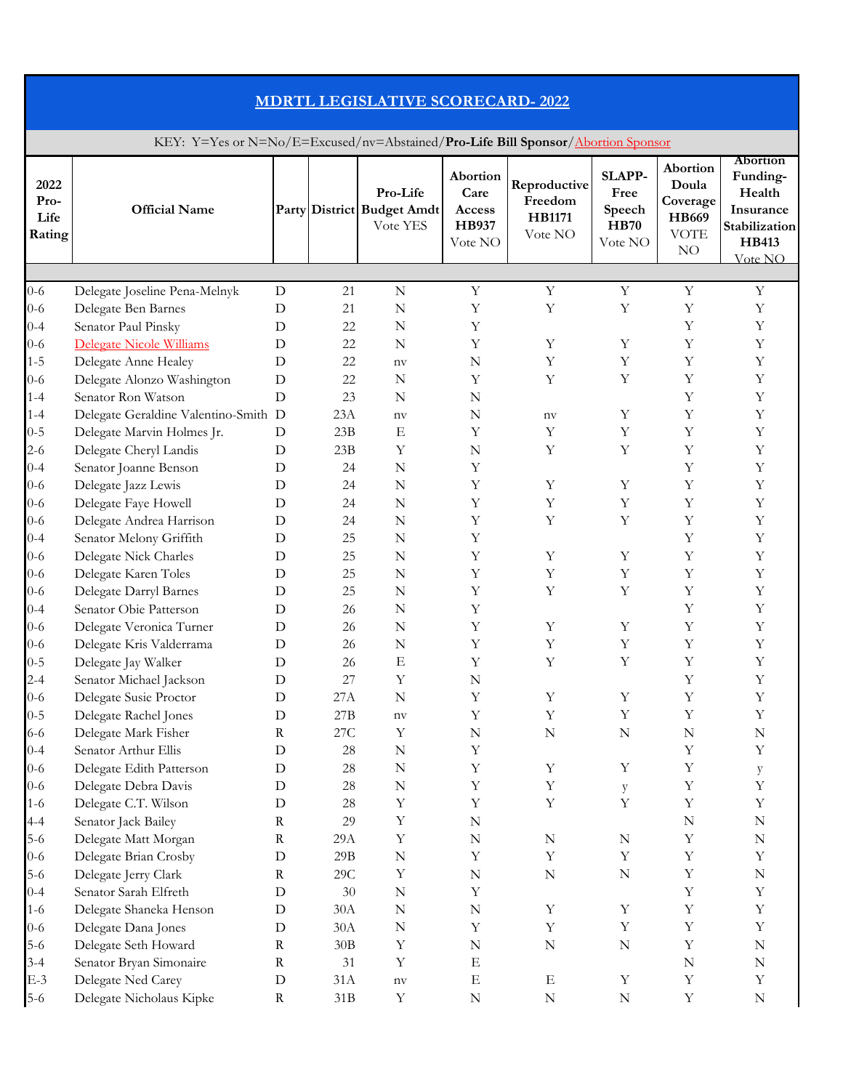| <b>MDRTL LEGISLATIVE SCORECARD-2022</b><br>KEY: Y=Yes or N=No/E=Excused/nv=Abstained/Pro-Life Bill Sponsor/Abortion Sponsor |                                                                             |             |                |                       |             |                  |             |             |             |  |
|-----------------------------------------------------------------------------------------------------------------------------|-----------------------------------------------------------------------------|-------------|----------------|-----------------------|-------------|------------------|-------------|-------------|-------------|--|
|                                                                                                                             |                                                                             |             |                |                       |             |                  |             |             |             |  |
|                                                                                                                             |                                                                             |             |                |                       |             |                  |             |             |             |  |
| $0 - 6$<br>$0 - 6$<br>$0 - 4$                                                                                               | Delegate Joseline Pena-Melnyk<br>Delegate Ben Barnes<br>Senator Paul Pinsky | D<br>D<br>D | 21<br>21<br>22 | $\mathbf N$<br>N<br>N | Y<br>Y<br>Y | Y<br>Y           | Y<br>Y      | Y<br>Υ<br>Υ | Y<br>Υ<br>Υ |  |
| $0 - 6$                                                                                                                     | Delegate Nicole Williams                                                    | D           | 22             | N                     | Y           | Y                | Υ           | Υ           | Υ           |  |
| $1 - 5$                                                                                                                     | Delegate Anne Healey                                                        | D           | 22             | $n$ v                 | N           | Y                | Y           | Υ           | Υ           |  |
| $0 - 6$                                                                                                                     | Delegate Alonzo Washington                                                  | D           | 22             | N                     | Y           | Y                | Y           | Υ           | Υ           |  |
| $1 - 4$                                                                                                                     | Senator Ron Watson                                                          | D           | 23<br>23A      | N                     | N<br>N      |                  | Y           | Υ<br>Y      | Υ<br>Y      |  |
| $1 - 4$<br>$0 - 5$                                                                                                          | Delegate Geraldine Valentino-Smith D<br>Delegate Marvin Holmes Jr.          | D           | 23B            | nv<br>E               | Y           | $n_{\rm V}$<br>Y | Υ           | Υ           | Υ           |  |
| $2 - 6$                                                                                                                     | Delegate Cheryl Landis                                                      | D           | 23B            | Y                     | N           | Y                | Υ           | Υ           | Υ           |  |
| $0 - 4$                                                                                                                     | Senator Joanne Benson                                                       | D           | 24             | N                     | Y           |                  |             | Υ           | Υ           |  |
| $0 - 6$                                                                                                                     | Delegate Jazz Lewis                                                         | D           | 24             | N                     | Y           | Y                | Y           | Υ           | Υ           |  |
| $0 - 6$                                                                                                                     | Delegate Faye Howell                                                        | D           | 24             | N                     | Y           | Y                | Υ           | Υ           | Υ           |  |
| $0 - 6$                                                                                                                     | Delegate Andrea Harrison                                                    | D           | 24             | N                     | Y           | Y                | Υ           | Υ           | Υ           |  |
| $0 - 4$                                                                                                                     | Senator Melony Griffith                                                     | D           | 25             | N                     | Y           |                  |             | Υ           | Υ           |  |
| $0 - 6$                                                                                                                     | Delegate Nick Charles                                                       | D           | 25             | N                     | Y           | Y                | Y           | Υ           | Υ           |  |
| $0 - 6$                                                                                                                     | Delegate Karen Toles                                                        | D           | 25             | N                     | Y           | Y                | Υ           | Υ           | Υ           |  |
| $0 - 6$                                                                                                                     | Delegate Darryl Barnes                                                      | D           | 25             | N                     | Υ           | Y                | Y           | Y           | Υ           |  |
| $0 - 4$                                                                                                                     | Senator Obie Patterson                                                      | D           | 26             | ${\bf N}$             | Y           |                  |             | Υ           | Υ           |  |
| $0 - 6$                                                                                                                     | Delegate Veronica Turner                                                    | $\mathbf D$ | 26             | $\mathbb N$           | $\mathbf Y$ | $\mathbf Y$      | $\mathbf Y$ | Y           | Y           |  |
| $0 - 6$                                                                                                                     | Delegate Kris Valderrama                                                    | $\mathbf D$ | 26             | $\mathbb N$           | Y           | $\mathbf Y$      | Y           | Y           | Υ           |  |
| $0 - 5$                                                                                                                     | Delegate Jay Walker                                                         | D           | 26             | E                     | Y           | $\mathbf Y$      | $\mathbf Y$ | Υ           | Y           |  |
| $2 - 4$                                                                                                                     | Senator Michael Jackson                                                     | D           | 27             | Y                     | N           |                  |             | Υ           | Υ           |  |
| $0 - 6$                                                                                                                     | Delegate Susie Proctor                                                      | $\mathbf D$ | 27A            | $\mathbb N$           | Y           | $\mathbf Y$      | $\mathbf Y$ | Υ           | Y           |  |
| $0 - 5$                                                                                                                     | Delegate Rachel Jones                                                       | D           | 27B            | $\operatorname{nv}$   | Y           | Y                | $\mathbf Y$ | Υ           | Y           |  |
| $6 - 6$                                                                                                                     | Delegate Mark Fisher                                                        | $\mathbf R$ | 27C            | Y                     | N           | N                | N           | N           | N           |  |
| $0 - 4$                                                                                                                     | Senator Arthur Ellis                                                        | $\mathbf D$ | 28             | $\mathbb N$           | Y           |                  |             | Y           | Y           |  |
| $0 - 6$                                                                                                                     | Delegate Edith Patterson                                                    | D           | 28             | $\mathbb N$           | Y           | Y                | Y           | Υ           | y           |  |
| $0 - 6$                                                                                                                     | Delegate Debra Davis                                                        | D           | 28             | $\mathbb N$           | Y           | Y                | y           | Υ           | Υ           |  |
| $1 - 6$                                                                                                                     | Delegate C.T. Wilson                                                        | D           | 28             | Y                     | Y           | $\mathbf Y$      | $\mathbf Y$ | Y           | Υ           |  |
| $4 - 4$                                                                                                                     | Senator Jack Bailey                                                         | $\mathbf R$ | 29             | Y                     | $\mathbf N$ |                  |             | ${\bf N}$   | N           |  |
| $5-6$                                                                                                                       | Delegate Matt Morgan                                                        | $\mathbf R$ | 29A            | Y                     | ${\bf N}$   | ${\bf N}$        | ${\bf N}$   | Υ           | ${\bf N}$   |  |
| $0 - 6$                                                                                                                     | Delegate Brian Crosby                                                       | $\mathbf D$ | 29B            | $\mathbb N$           | Y           | Y                | Y           | Υ           | Υ           |  |
| $5 - 6$                                                                                                                     | Delegate Jerry Clark                                                        | $\rm R$     | 29C            | Y                     | ${\bf N}$   | N                | $\mathbf N$ | Y           | N           |  |
| $0 - 4$                                                                                                                     | Senator Sarah Elfreth                                                       | D           | 30             | $\mathbb N$           | Y           |                  |             | Υ           | Y           |  |
| $1 - 6$                                                                                                                     | Delegate Shaneka Henson                                                     | D           | 30A            | $\mathbb N$           | ${\bf N}$   | Y                | $\mathbf Y$ | Υ           | Y           |  |
| $0 - 6$                                                                                                                     | Delegate Dana Jones                                                         | D           | 30A            | N                     | Y           | Y                | Y           | Υ           | Y           |  |
| $5 - 6$                                                                                                                     | Delegate Seth Howard                                                        | $\mathbf R$ | 30B            | Y                     | N           | N                | N           | Υ           | N           |  |
| $3 - 4$                                                                                                                     | Senator Bryan Simonaire                                                     | $\mathbf R$ | 31             | Y                     | E           |                  |             | ${\bf N}$   | N           |  |
| $E-3$                                                                                                                       | Delegate Ned Carey                                                          | $\mathbf D$ | 31A            | $n$ v                 | $_{\rm E}$  | E                | Y           | Υ           | Y           |  |
| $5-6$                                                                                                                       | Delegate Nicholaus Kipke                                                    | R           | 31B            | Y                     | N           | N                | $\mathbf N$ | Y           | N           |  |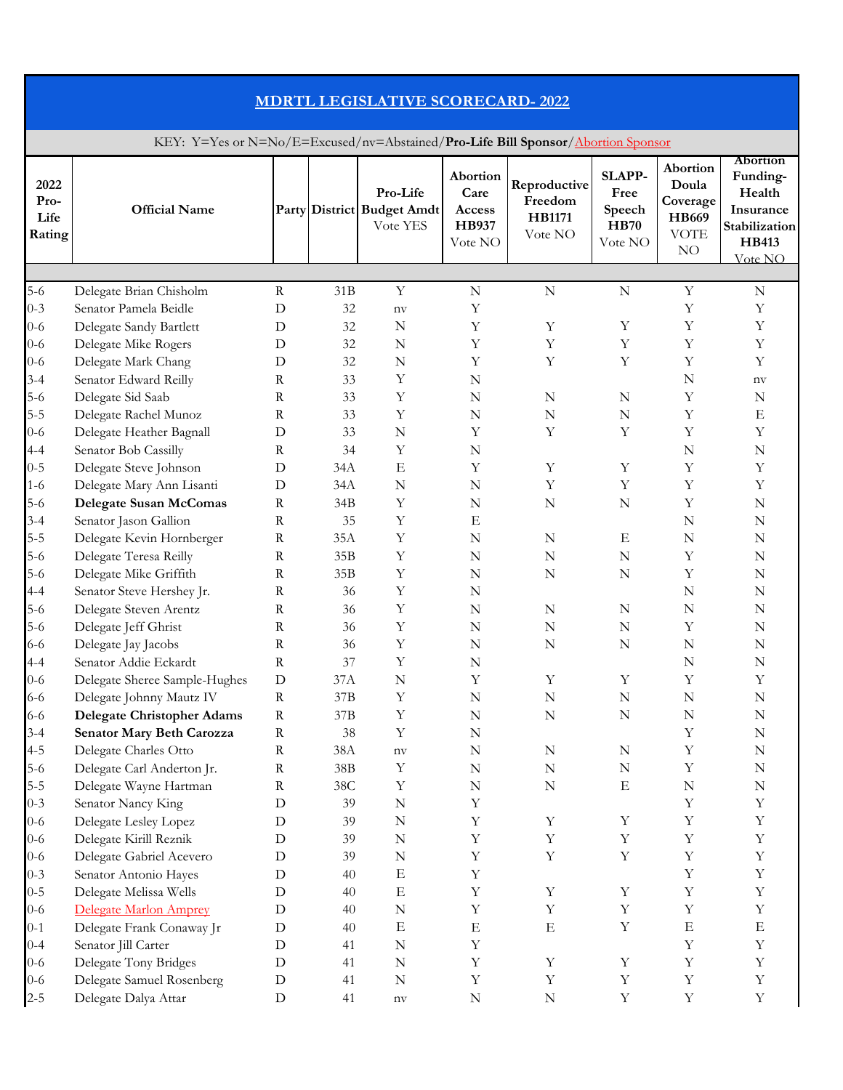| <b>MDRTL LEGISLATIVE SCORECARD-2022</b>                                          |                                                                             |                       |                 |                                                    |                                                       |                                                     |                                                           |                                                               |                                                                                         |  |
|----------------------------------------------------------------------------------|-----------------------------------------------------------------------------|-----------------------|-----------------|----------------------------------------------------|-------------------------------------------------------|-----------------------------------------------------|-----------------------------------------------------------|---------------------------------------------------------------|-----------------------------------------------------------------------------------------|--|
| KEY: Y=Yes or N=No/E=Excused/nv=Abstained/Pro-Life Bill Sponsor/Abortion Sponsor |                                                                             |                       |                 |                                                    |                                                       |                                                     |                                                           |                                                               |                                                                                         |  |
| 2022<br>Pro-<br>Life<br>Rating                                                   | <b>Official Name</b>                                                        |                       |                 | Pro-Life<br>Party District Budget Amdt<br>Vote YES | Abortion<br>Care<br>Access<br><b>HB937</b><br>Vote NO | Reproductive<br>Freedom<br><b>HB1171</b><br>Vote NO | <b>SLAPP-</b><br>Free<br>Speech<br><b>HB70</b><br>Vote NO | Abortion<br>Doula<br>Coverage<br>HB669<br><b>VOTE</b><br>$NO$ | Abortion<br>Funding-<br>Health<br>Insurance<br>Stabilization<br><b>HB413</b><br>Vote NO |  |
|                                                                                  |                                                                             |                       |                 |                                                    |                                                       |                                                     |                                                           |                                                               |                                                                                         |  |
| $5-6$<br>$0 - 3$<br>$0 - 6$                                                      | Delegate Brian Chisholm<br>Senator Pamela Beidle<br>Delegate Sandy Bartlett | $\mathbf R$<br>D<br>D | 31B<br>32<br>32 | Y<br>$n$ v<br>N                                    | $\mathbf N$<br>Y<br>Y                                 | $\mathbf N$<br>Y                                    | ${\bf N}$<br>Y                                            | Y<br>Υ<br>Υ                                                   | $\mathbf N$<br>Υ<br>Υ                                                                   |  |
| $0 - 6$                                                                          | Delegate Mike Rogers                                                        | D                     | 32<br>32        | N<br>N                                             | Y<br>Y                                                | Y<br>Y                                              | Υ<br>Y                                                    | Υ<br>Υ                                                        | Υ<br>Υ                                                                                  |  |
| $0 - 6$<br>$3 - 4$                                                               | Delegate Mark Chang<br>Senator Edward Reilly                                | D<br>$\mathbf R$      | 33              | Y                                                  | N                                                     |                                                     |                                                           | N                                                             | $n_{\rm V}$                                                                             |  |
| $5 - 6$                                                                          | Delegate Sid Saab                                                           | $\mathbf R$           | 33              | Y                                                  | N                                                     | N                                                   | N                                                         | Υ                                                             | N                                                                                       |  |
| $5 - 5$                                                                          | Delegate Rachel Munoz                                                       | $\mathbf R$           | 33              | Y                                                  | $\mathbf N$                                           | $\mathbf N$                                         | $\mathbb N$                                               | Υ                                                             | E                                                                                       |  |
| $0 - 6$                                                                          | Delegate Heather Bagnall                                                    | D                     | 33              | $\mathbf N$                                        | Y                                                     | Y                                                   | Y                                                         | Υ                                                             | Υ                                                                                       |  |
| $4 - 4$                                                                          | Senator Bob Cassilly                                                        | $\mathbf R$           | 34              | Y                                                  | N                                                     |                                                     |                                                           | N                                                             | N                                                                                       |  |
| $0 - 5$                                                                          | Delegate Steve Johnson                                                      | D                     | 34A             | Ε                                                  | Y                                                     | Y                                                   | Y                                                         | Υ                                                             | Υ                                                                                       |  |
| $1 - 6$                                                                          | Delegate Mary Ann Lisanti                                                   | D                     | 34A             | $\mathbf N$                                        | N                                                     | Y                                                   | Y                                                         | Υ                                                             | Υ                                                                                       |  |
| $5 - 6$                                                                          | <b>Delegate Susan McComas</b>                                               | $\mathbf R$           | 34B             | Υ                                                  | N                                                     | N                                                   | $\mathbf N$                                               | Υ                                                             | N                                                                                       |  |
| $3 - 4$                                                                          | Senator Jason Gallion                                                       | $\mathbf R$           | 35              | Y                                                  | E                                                     |                                                     |                                                           | N                                                             | N                                                                                       |  |
| $5 - 5$                                                                          | Delegate Kevin Hornberger                                                   | $\mathbf R$           | 35A             | Y                                                  | $\mathbf N$                                           | N                                                   | E                                                         | $\mathbf N$                                                   | N                                                                                       |  |
| $5 - 6$                                                                          | Delegate Teresa Reilly                                                      | $\mathbf R$           | 35B             | Y                                                  | ${\bf N}$                                             | N                                                   | N                                                         | Υ                                                             | N                                                                                       |  |
| $5 - 6$                                                                          | Delegate Mike Griffith                                                      | $\mathbf R$           | 35B             | Y                                                  | N                                                     | N                                                   | $\mathbf N$                                               | Y                                                             | N                                                                                       |  |
| $4 - 4$                                                                          | Senator Steve Hershey Jr.                                                   | R                     | 36              | Y                                                  | N                                                     |                                                     |                                                           | $\mathbf N$                                                   | N                                                                                       |  |
| $5 - 6$                                                                          | Delegate Steven Arentz                                                      | $\mathbf R$           | 36              | Y                                                  | $\mathbf N$                                           | N                                                   | $\mathbb N$                                               | ${\bf N}$                                                     | N                                                                                       |  |
| $5 - 6$                                                                          | Delegate Jeff Ghrist                                                        | $\rm R$               | 36              | Y                                                  | $\mathbf N$                                           | ${\bf N}$                                           | $\mathbf N$                                               | Y                                                             | ${\bf N}$                                                                               |  |
| $6 - 6$                                                                          | Delegate Jay Jacobs                                                         | $\rm R$               | 36              | Y                                                  | $\mathbf N$                                           | $\mathbf N$                                         | $\mathbb N$                                               | ${\bf N}$                                                     | $\mathbf N$                                                                             |  |
| $4 - 4$                                                                          | Senator Addie Eckardt                                                       | $\mathbf R$           | 37              | Y                                                  | $\mathbf N$                                           |                                                     |                                                           | ${\bf N}$                                                     | $\mathbf N$                                                                             |  |
| $0 - 6$                                                                          | Delegate Sheree Sample-Hughes                                               | D                     | 37A             | ${\bf N}$                                          | Y                                                     | Y                                                   | Y                                                         | Y                                                             | Y                                                                                       |  |
| $6 - 6$                                                                          | Delegate Johnny Mautz IV                                                    | $\mathbf R$           | 37B             | Y                                                  | $\mathbf N$                                           | $\mathbf N$                                         | $\mathbf N$                                               | ${\bf N}$                                                     | $\mathbf N$                                                                             |  |
| 6-6                                                                              | <b>Delegate Christopher Adams</b>                                           | $\mathbf R$           | 37B             | Y                                                  | $\mathbf N$                                           | N                                                   | $\mathbf N$                                               | ${\bf N}$                                                     | $\mathbf N$                                                                             |  |
| $3 - 4$                                                                          | Senator Mary Beth Carozza                                                   | $\mathbf R$           | 38              | Y                                                  | N                                                     |                                                     |                                                           | Υ                                                             | N                                                                                       |  |
| $4 - 5$                                                                          | Delegate Charles Otto                                                       | $\mathbf R$           | 38A             | $n_{\rm V}$                                        | $\mathbb N$                                           | N                                                   | ${\bf N}$                                                 | Y                                                             | ${\bf N}$                                                                               |  |
| $5 - 6$                                                                          | Delegate Carl Anderton Jr.                                                  | $\mathbf R$           | 38B             | Y                                                  | ${\bf N}$                                             | $\mathbf N$                                         | ${\bf N}$                                                 | Y                                                             | $\mathbf N$                                                                             |  |
| $5-5$                                                                            | Delegate Wayne Hartman                                                      | $\mathbf R$           | 38C<br>39       | Y                                                  | $\mathbf N$                                           | $\mathbf N$                                         | E                                                         | N                                                             | $\mathbf N$<br>Y                                                                        |  |
| $0 - 3$<br>$0 - 6$                                                               | Senator Nancy King                                                          | D                     | 39              | $\mathbf N$<br>$\mathbf N$                         | Y<br>Y                                                | Y                                                   | Y                                                         | Υ<br>$\mathbf Y$                                              | Y                                                                                       |  |
| $0 - 6$                                                                          | Delegate Lesley Lopez<br>Delegate Kirill Reznik                             | D<br>D                | 39              | $\mathbf N$                                        | Y                                                     | Y                                                   | $\mathbf Y$                                               | Υ                                                             | Y                                                                                       |  |
| $0 - 6$                                                                          | Delegate Gabriel Acevero                                                    | D                     | 39              | $\mathbf N$                                        | Y                                                     | Y                                                   | Y                                                         | Υ                                                             | Y                                                                                       |  |
| $0 - 3$                                                                          | Senator Antonio Hayes                                                       | D                     | 40              | E                                                  | Y                                                     |                                                     |                                                           | Y                                                             | Y                                                                                       |  |
| $0 - 5$                                                                          | Delegate Melissa Wells                                                      | D                     | 40              | $\mathbf E$                                        | Y                                                     | Y                                                   | $\mathbf Y$                                               | Y                                                             | Y                                                                                       |  |
| $0 - 6$                                                                          | Delegate Marlon Amprey                                                      | D                     | 40              | $\mathbf N$                                        | Y                                                     | Y                                                   | $\mathbf Y$                                               | Υ                                                             | Y                                                                                       |  |
| $0-1$                                                                            | Delegate Frank Conaway Jr                                                   | D                     | 40              | $_{\rm E}$                                         | E                                                     | $\mathbf E$                                         | $\mathbf Y$                                               | $\mathbf E$                                                   | $\mathbf E$                                                                             |  |
| $0 - 4$                                                                          | Senator Jill Carter                                                         | D                     | 41              | $\mathbf N$                                        | Y                                                     |                                                     |                                                           | Υ                                                             | Y                                                                                       |  |
| $0 - 6$                                                                          | Delegate Tony Bridges                                                       | D                     | 41              | $\mathbf N$                                        | $\mathbf Y$                                           | Y                                                   | Y                                                         | Υ                                                             | Y                                                                                       |  |
| $0 - 6$                                                                          | Delegate Samuel Rosenberg                                                   | D                     | 41              | $\mathbf N$                                        | Y                                                     | Y                                                   | $\mathbf Y$                                               | Y                                                             | Y                                                                                       |  |
| $2 - 5$                                                                          | Delegate Dalya Attar                                                        | $\mathbf D$           | 41              | $\operatorname{nv}$                                | ${\bf N}$                                             | N                                                   | $\mathbf Y$                                               | $\mathbf Y$                                                   | $\mathbf Y$                                                                             |  |